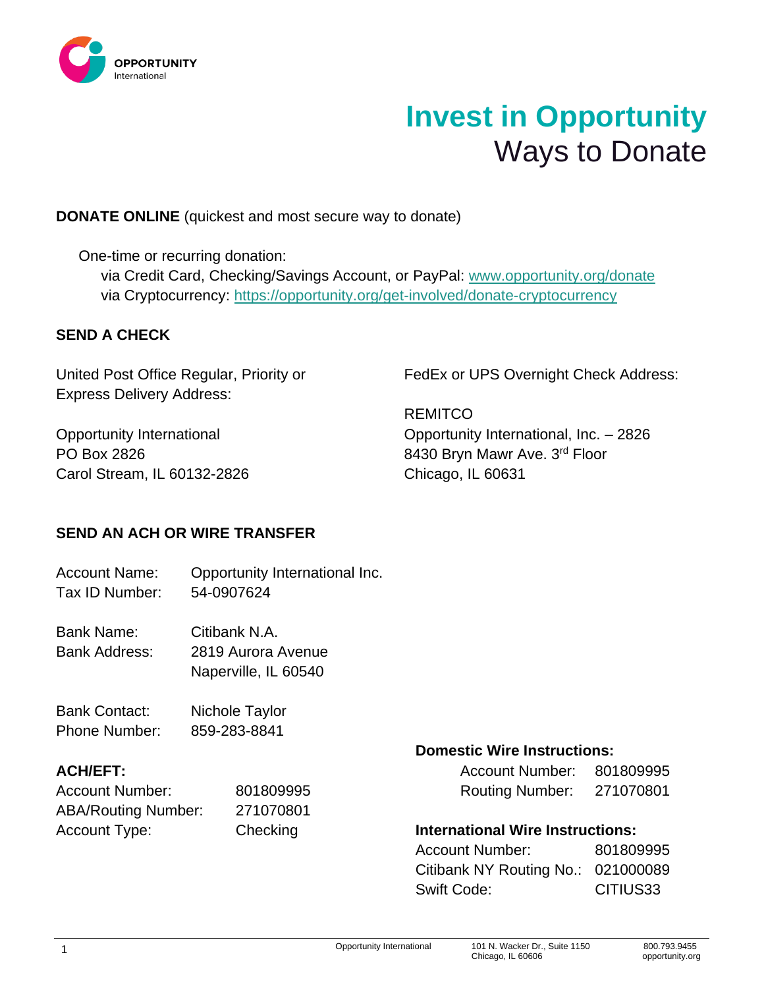

# **Invest in Opportunity** Ways to Donate

# **DONATE ONLINE** (quickest and most secure way to donate)

One-time or recurring donation:

via Credit Card, Checking/Savings Account, or PayPal: [www.opportunity.org/donate](http://www.opportunity.org/donate) via Cryptocurrency:<https://opportunity.org/get-involved/donate-cryptocurrency>

# **SEND A CHECK**

United Post Office Regular, Priority or Express Delivery Address:

Opportunity International PO Box 2826 Carol Stream, IL 60132-2826 FedEx or UPS Overnight Check Address:

**REMITCO** Opportunity International, Inc. – 2826 8430 Bryn Mawr Ave. 3<sup>rd</sup> Floor Chicago, IL 60631

# **SEND AN ACH OR WIRE TRANSFER**

Account Name: Opportunity International Inc. Tax ID Number: 54-0907624

Bank Name: Citibank N.A. Bank Address: 2819 Aurora Avenue Naperville, IL 60540

Bank Contact: Nichole Taylor Phone Number: 859-283-8841

| <b>Account Number:</b>     | 801809995 | <b>Routing Number:</b>                  | 271070801 |
|----------------------------|-----------|-----------------------------------------|-----------|
| <b>ABA/Routing Number:</b> | 271070801 |                                         |           |
| Account Type:              | Checking  | <b>International Wire Instructions:</b> |           |

### **Domestic Wire Instructions:**

| <b>ACH/EFT:</b> |           | <b>Account Number:</b> | 801809995 |
|-----------------|-----------|------------------------|-----------|
| Account Number: | 801809995 | <b>Routing Number:</b> | 271070801 |

### **International Wire Instructions:**

| <b>Account Number:</b>             | 801809995 |
|------------------------------------|-----------|
| Citibank NY Routing No.: 021000089 |           |
| Swift Code:                        | CITIUS33  |